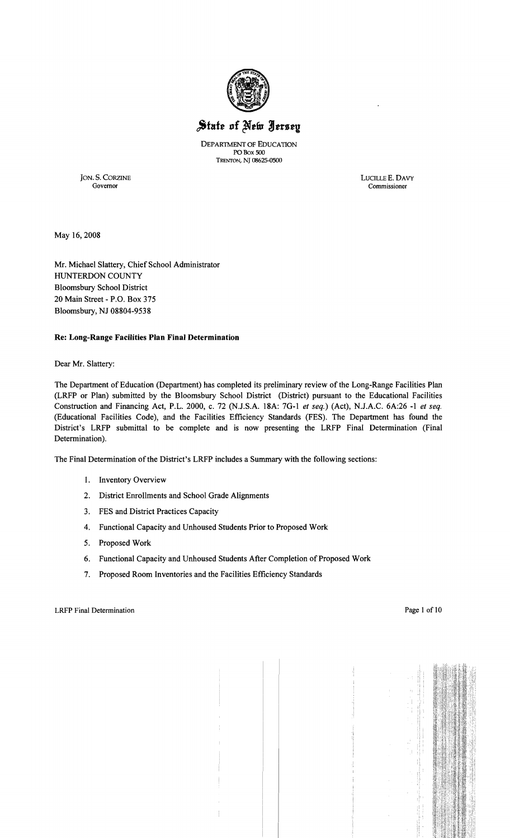

# State of New Jersey

DEPARTMENT OF EDUCATION POBox 500 TRENTON, NJ 08625-0500

JON. S. CORZINE LUCILLE E. DAVY Governor Commissioner

May 16,2008

Mr. Michael Slattery, Chief School Administrator HUNTERDON COUNTY Bloomsbury School District 20 Main Street - P.O. Box 375 Bloomsbury, NJ 08804-9538

#### Re: Long-Range Facilities Plan Final Determination

Dear Mr. Slattery:

The Department of Education (Department) has completed its preliminary review of the Long-Range Facilities Plan (LRFP or Plan) submitted by the Bloomsbury School District (District) pursuant to the Educational Facilities Construction and Financing Act, P.L. 2000, c. 72 (NJ.S.A. 18A: 7G-1 *et seq.)* (Act), NJ.A.C. 6A:26 -1 *et seq.*  (Educational Facilities Code), and the Facilities Efficiency Standards (FES). The Department has found the District's LRFP submittal to be complete and is now presenting the LRFP Final Determination (Final Determination).

The Final Determination of the District's LRFP includes a Summary with the following sections:

- 1. Inventory Overview
- 2. District Enrollments and School Grade Alignments
- 3. FES and District Practices Capacity
- 4. Functional Capacity and Unhoused Students Prior to Proposed Work
- 5. Proposed Work
- 6. Functional Capacity and Unhoused Students After Completion of Proposed Work
- 7. Proposed Room Inventories and the Facilities Efficiency Standards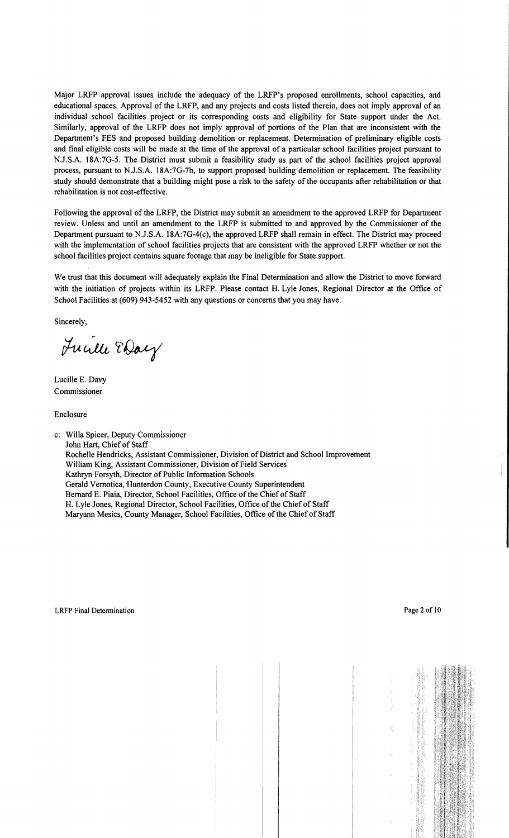Major LRFP approval issues include the adequacy of the LRFP's proposed enrollments, school capacities, and educational spaces. Approval of the LRFP, and any projects and costs listed therein, does not imply approval of an individual school facilities project or its corresponding costs and eligibility for State support under the Act. Similarly, approval of the LRFP does not imply approval of portions of the Plan that are inconsistent with the Department's FES and proposed building demolition or replacement. Determination of preliminary eligible costs and final eligible costs will be made at the time of the approval of a particular school facilities project pursuant to N.J.S.A. 18A:7G-5. The District must submit a feasibility study as part of the school facilities project approval process, pursuant to N.J.S.A. 18A:7G-7b, to support proposed building demolition or replacement. The feasibility study should demonstrate that a building might pose a risk to the safety of the occupants after rehabilitation or that rehabilitation is not cost-effective.

Following the approval of the LRFP, the District may submit an amendment to the approved LRFP for Department review. Unless and until an amendment to the LRFP is submitted to and approved by the Commissioner of the Department pursuant to N.J.S.A. 18A:7G-4(c), the approved LRFP shall remain in effect. The District may proceed with the implementation of school facilities projects that are consistent with the approved LRFP whether or not the school facilities project contains square footage that may be ineligible for State support.

We trust that this document will adequately explain the Final Determination and allow the District to move forward with the initiation of projects within its LRFP. Please contact H. Lyle Jones, Regional Director at the Office of School Facilities at (609) 943-5452 with any questions or concerns that you may have.

Sincerely,

June Eday

Lucille E. Davy Commissioner

Enclosure

c: Willa Spicer, Deputy Commissioner John Hart, Chief of Staff Rochelle Hendricks, Assistant Commissioner, Division of District and School Improvement William King, Assistant Commissioner, Division of Field Services Kathryn Forsyth, Director of Public Information Schools Gerald Vernotica, Hunterdon County, Executive County Superintendent Bernard E. Piaia, Director, School Facilities, Office of the Chief of Staff H. Lyle Jones, Regional Director, School Facilities, Office of the Chief of Staff Maryann Mesics, County Manager, School Facilities, Office of the Chief of Staff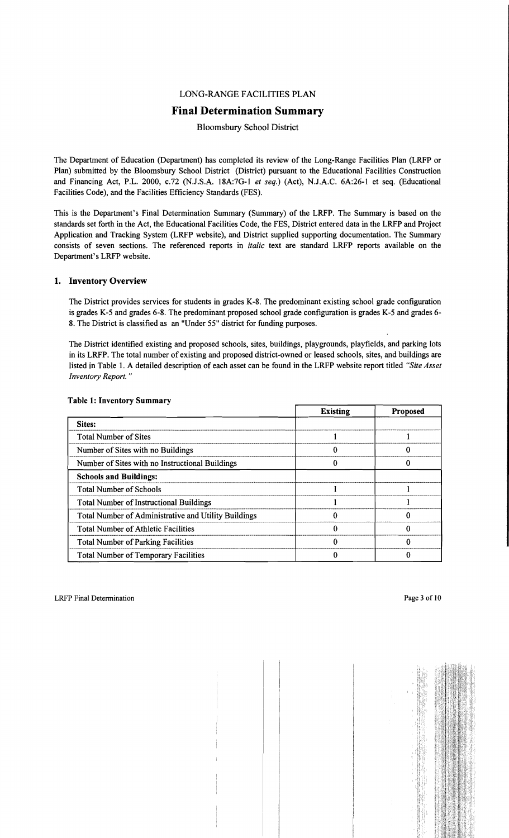### LONG-RANGE FACILITIES PLAN

# **Final Determination Summary**

Bloomsbury School District

The Department of Education (Department) has completed its review of the Long-Range Facilities Plan (LRFP or Plan) submitted by the Bloomsbury School District (District) pursuant to the Educational Facilities Construction and Financing Act, P.L. 2000, c.72 (NJ.S.A. 18A:7G-I *et seq.)* (Act), NJ.A.C. 6A:26-1 et seq. (Educational Facilities Code), and the Facilities Efficiency Standards (FES).

This is the Department's Final Determination Summary (Summary) of the LRFP. The Summary is based on the standards set forth in the Act, the Educational Facilities Code, the FES, District entered data in the LRFP and Project Application and Tracking System (LRFP website), and District supplied supporting documentation. The Summary consists of seven sections. The referenced reports in *italic* text are standard LRFP reports available on the Department's LRFP website.

# 1. Inventory Overview

The District provides services for students in grades K-8. The predominant existing school grade configuration is grades K-5 and grades 6-8. The predominant proposed school grade configuration is grades K-5 and grades 6 8. The District is classified as an "Under 55" district for funding purposes.

The District identified existing and proposed schools, sites, buildings, playgrounds, playfields, and parking lots in its LRFP. The total number of existing and proposed district-owned or leased schools, sites, and buildings are listed in Table I. A detailed description of each asset can be found in the LRFP website report titled *"Site Asset Inventory Report. "* 

|                                                      | <b>Existing</b> | <b>Proposed</b> |
|------------------------------------------------------|-----------------|-----------------|
| Sites:                                               |                 |                 |
| <b>Total Number of Sites</b>                         |                 |                 |
| Number of Sites with no Buildings                    |                 |                 |
| Number of Sites with no Instructional Buildings      |                 |                 |
| <b>Schools and Buildings:</b>                        |                 |                 |
| <b>Total Number of Schools</b>                       |                 |                 |
| <b>Total Number of Instructional Buildings</b>       |                 |                 |
| Total Number of Administrative and Utility Buildings |                 |                 |
| <b>Total Number of Athletic Facilities</b>           |                 |                 |
| <b>Total Number of Parking Facilities</b>            |                 |                 |
| <b>Total Number of Temporary Facilities</b>          |                 |                 |

#### Table 1: Inventory Summary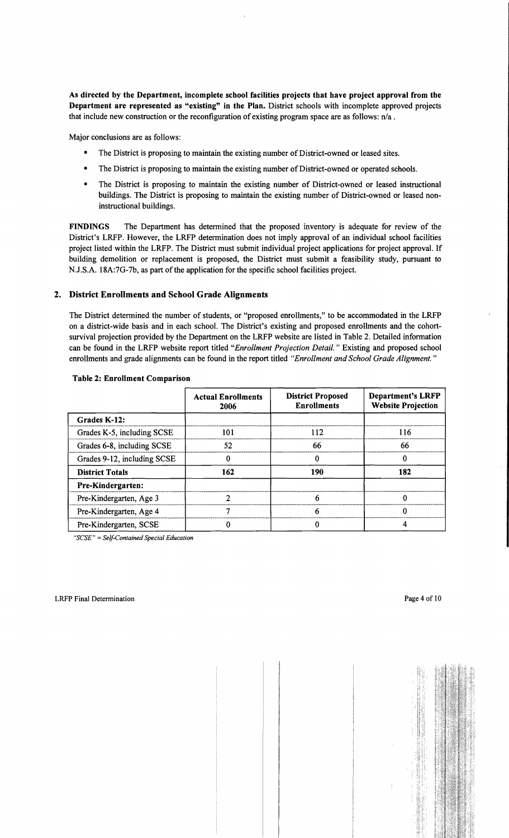As directed by the Department, incomplete school facilities projects that have project approval from the Department are represented as "existing" in the Plan. District schools with incomplete approved projects that include new construction or the reconfiguration of existing program space are as follows:  $n/a$ .

Major conclusions are as follows:

- The District is proposing to maintain the existing number of District-owned or leased sites.
- The District is proposing to maintain the existing number of District-owned or operated schools.
- The District is proposing to maintain the existing number of District-owned or leased instructional buildings. The District is proposing to maintain the existing number of District-owned or leased noninstructional buildings.

FINDINGS The Department has detennined that the proposed inventory is adequate for review of the District's LRFP. However, the LRFP detennination does not imply approval of an individual school facilities project listed within the LRFP. The District must submit individual project applications for project approval. If building demolition or replacement is proposed, the District must submit a feasibility study, pursuant to N.J.S.A. 18A:7G-7b, as part of the application for the specific school facilities project.

# 2. District Enrollments and School Grade Alignments

The District detennined the number of students, or "proposed enrollments," to be accommodated in the LRFP on a district-wide basis and in each school. The District's existing and proposed enrollments and the cohortsurvival projection provided by the Department on the LRFP website are listed in Table 2. Detailed infonnation can be found in the LRFP website report titled *"Enrollment Projection Detail.* " Existing and proposed school enrollments and grade alignments can be found in the report titled *"Enrollment and School Grade Alignment. "* 

|                             | <b>Actual Enrollments</b><br>2006 | <b>District Proposed</b><br><b>Enrollments</b> | <b>Department's LRFP</b><br><b>Website Projection</b> |
|-----------------------------|-----------------------------------|------------------------------------------------|-------------------------------------------------------|
| Grades K-12:                |                                   |                                                |                                                       |
| Grades K-5, including SCSE  | 101                               | 112                                            | 116                                                   |
| Grades 6-8, including SCSE  | 52                                | 66                                             | 66                                                    |
| Grades 9-12, including SCSE |                                   |                                                |                                                       |
| <b>District Totals</b>      | 162                               | 190                                            | 182                                                   |
| Pre-Kindergarten:           |                                   |                                                |                                                       |
| Pre-Kindergarten, Age 3     |                                   | n                                              |                                                       |
| Pre-Kindergarten, Age 4     |                                   |                                                |                                                       |
| Pre-Kindergarten, SCSE      |                                   |                                                |                                                       |

#### Table 2: Enrollment Comparison

*"SCSE"* = *Self-Contained Special Education*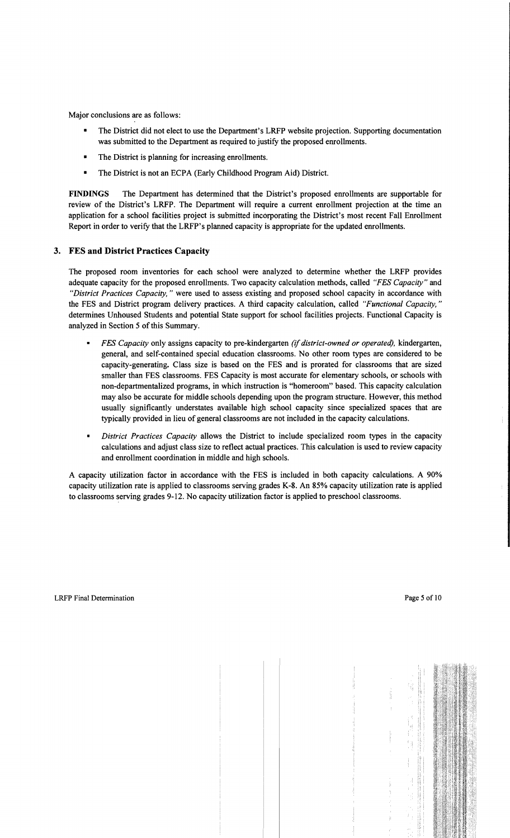Major conclusions are as follows:

- The District did not elect to use the Department's LRFP website projection. Supporting documentation was submitted to the Department as required to justify the proposed enrollments.
- The District is planning for increasing enrollments.
- The District is not an ECPA (Early Childhood Program Aid) District.

**FINDINGS** The Department has determined that the District's proposed enrollments are supportable for review of the District's LRFP. The Department will require a current enrollment projection at the time an application for a school facilities project is submitted incorporating the District's most recent Fall Enrollment Report in order to verify that the LRFP's planned capacity is appropriate for the updated enrollments.

# **3. FES and District Practices Capacity**

The proposed room inventories for each school were analyzed to determine whether the LRFP provides adequate capacity for the proposed enrollments. Two capacity calculation methods, called *"FES Capacity"* and *"District Practices Capacity,* " were used to assess existing and proposed school capacity in accordance with the FES and District program delivery practices. A third capacity calculation, called *"Functional Capacity,"*  determines Unhoused Students and potential State support for school facilities projects. Functional Capacity is analyzed in Section 5 of this Summary.

- *FES Capacity* only assigns capacity to pre-kindergarten *(if district-owned or operated),* kindergarten, general, and self-contained special education classrooms. No other room types are considered to be capacity-generating. Class size is based on the FES and is prorated for classrooms that are sized smaller than FES classrooms. FES Capacity is most accurate for elementary schools, or schools with non-departmentalized programs, in which instruction is "homeroom" based. This capacity calculation may also be accurate for middle schools depending upon the program structure. However, this method usually significantly understates available high school capacity since specialized spaces that are typically provided in lieu of general classrooms are not included in the capacity calculations.
- $\blacksquare$ *District Practices Capacity* allows the District to include specialized room types in the capacity calculations and adjust class size to reflect actual practices. This calculation is used to review capacity and enrollment coordination in middle and high schools.

A capacity utilization factor in accordance with the FES is included in both capacity calculations. A 90% capacity utilization rate is applied to classrooms serving grades K-8. An 85% capacity utilization rate is applied to classrooms serving grades 9-12. No capacity utilization factor is applied to preschool classrooms.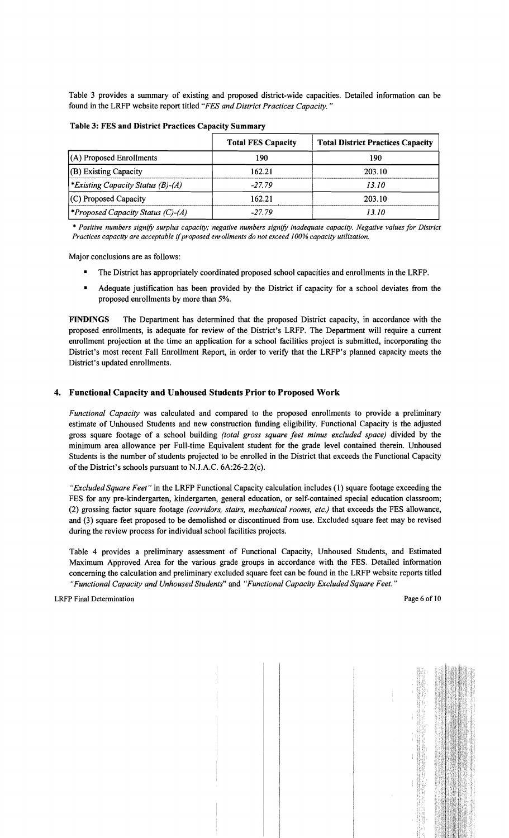Table 3 provides a summary of existing and proposed district-wide capacities. Detailed information can be found in the LRFP website report titled *"FES and District Practices Capacity. "* 

| Table 3: FES and District Practices Capacity Summary |                           |                                          |  |  |
|------------------------------------------------------|---------------------------|------------------------------------------|--|--|
|                                                      | <b>Total FES Capacity</b> | <b>Total District Practices Capacity</b> |  |  |
| $(A)$ Proposed Enrollments                           | 190                       | 190                                      |  |  |
| $ $ (B) Existing Capacity                            | 162.21                    | 203.10                                   |  |  |
| <i>Existing Capacity Status (B)-(A)</i>              | $-27.79$                  | 13.10                                    |  |  |
| $(C)$ Proposed Capacity                              | 162.21                    | 203.10                                   |  |  |
| <i>Froposed Capacity Status (C)-(A)</i>              | $-27.79$                  | 13.10                                    |  |  |

Table 3: FES and District Practices Capacity Summary

\* *Positive numbers signify surplus capacity; negative numbers signify inadequate capacity. Negative values for District Practices capacity are acceptable* if*proposed enrollments do not exceed* J*00% capacity utilization.* 

Major conclusions are as follows:

- The District has appropriately coordinated proposed school capacities and enrollments in the LRFP.
- Adequate justification has been provided by the District if capacity for a school deviates from the proposed enrollments by more than 5%.

FINDINGS The Department has determined that the proposed District capacity, in accordance with the proposed enrollments, is adequate for review of the District's LRFP. The Department will require a current enrollment projection at the time an application for a school facilities project is submitted, incorporating the District's most recent Fall Enrollment Report, in order to verify that the LRFP's planned capacity meets the District's updated enrollments.

#### 4. Functional Capacity and Unhoused Students Prior to Proposed Work

*Functional Capacity* was calculated and compared to the proposed enrollments to provide a preliminary estimate of Unhoused Students and new construction funding eligibility. Functional Capacity is the adjusted gross square footage of a school building *(total gross square feet minus excluded space)* divided by the minimum area allowance per Full-time Equivalent student for the grade level contained therein. Unhoused Students is the number of students projected to be enrolled in the District that exceeds the Functional Capacity of the District's schools pursuant to N.J.A.C.  $6A:26-2.2(c)$ .

*"Excluded Square Feet"* in the LRFP Functional Capacity calculation includes (1) square footage exceeding the FES for any pre-kindergarten, kindergarten, general education, or self-contained special education classroom; (2) grossing factor square footage *(corridors, stairs, mechanical rooms, etc.)* that exceeds the FES allowance, and (3) square feet proposed to be demolished or discontinued from use. Excluded square feet may be revised during the review process for individual school facilities projects.

Table 4 provides a preliminary assessment of Functional Capacity, Unhoused Students, and Estimated Maximum Approved Area for the various grade groups in accordance with the FES. Detailed information concerning the calculation and preliminary excluded square feet can be found in the LRFP website reports titled *"Functional Capacity and Unhoused Students"* and *"Functional Capacity Excluded Square Feet."*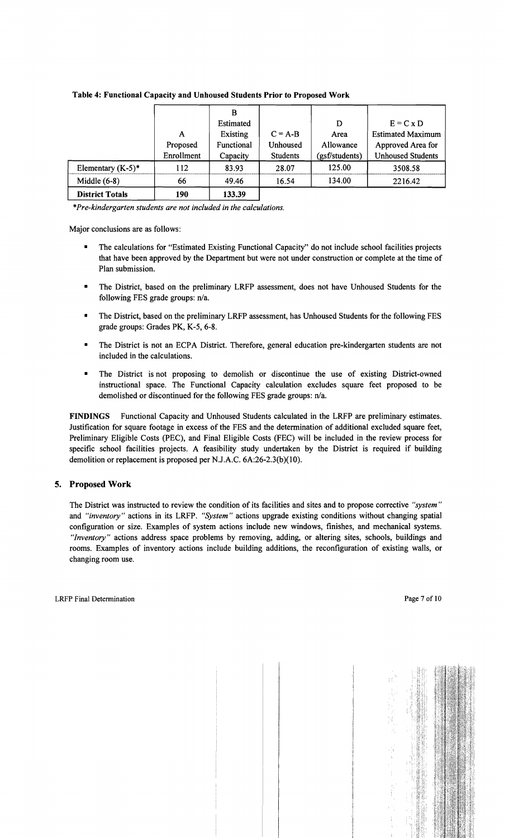|                        |            | B          |                 |                |                          |
|------------------------|------------|------------|-----------------|----------------|--------------------------|
|                        |            | Estimated  |                 | D              | $E = C x D$              |
|                        | A          | Existing   | $C = A-B$       | Area           | <b>Estimated Maximum</b> |
|                        | Proposed   | Functional | Unhoused        | Allowance      | Approved Area for        |
|                        | Enrollment | Capacity   | <b>Students</b> | (gsf/students) | <b>Unhoused Students</b> |
| Elementary $(K-5)^*$   | 112        | 83.93      | 28.07           | 125.00         | 3508.58                  |
| Middle $(6-8)$         | 66         | 49.46      | 16.54           | 134.00         | 2216.42                  |
| <b>District Totals</b> | 190        | 133.39     |                 |                |                          |

#### Table 4: Functional Capacity and Unhoused Students Prior to Proposed Work

\**Pre-kindergarten students are not included in the calculations.* 

Major conclusions are as follows:

- The calculations for "Estimated Existing Functional Capacity" do not include school facilities projects that have been approved by the Department but were not under construction or complete at the time of Plan submission.
- The District, based on the preliminary LRFP assessment, does not have Unhoused Students for the following FES grade groups: n/a.
- The District, based on the preliminary LRFP assessment, has Unhoused Students for the following FES grade groups: Grades PK, K-5, 6-8.
- The District is not an ECPA District. Therefore, general education pre-kindergarten students are not included in the calculations.
- • The District is not proposing to demolish or discontinue the use of existing District-owned instructional space. The Functional Capacity calculation excludes square feet proposed to be demolished or discontinued for the following FES grade groups: n/a.

FINDINGS Functional Capacity and Unhoused Students calculated in the LRFP are preliminary estimates. Justification for square footage in excess of the FES and the determination of additional excluded square feet, Preliminary Eligible Costs (PEC), and Final Eligible Costs (FEC) will be included in the review process for specific school facilities projects. A feasibility study undertaken by the District is required if building demolition or replacement is proposed per NJ.A.C. 6A:26-2.3(b)(10).

#### 5. Proposed Work

The District was instructed to review the condition of its facilities and sites and to propose corrective *"system"*  and *"inventory"* actions in its LRFP. *"System"* actions upgrade existing conditions without changing spatial configuration or size. Examples of system actions include new windows, finishes, and mechanical systems. *"Inventory"* actions address space problems by removing, adding, or altering sites, schools, buildings and rooms. Examples of inventory actions include building additions, the reconfiguration of existing walls, or changing room use.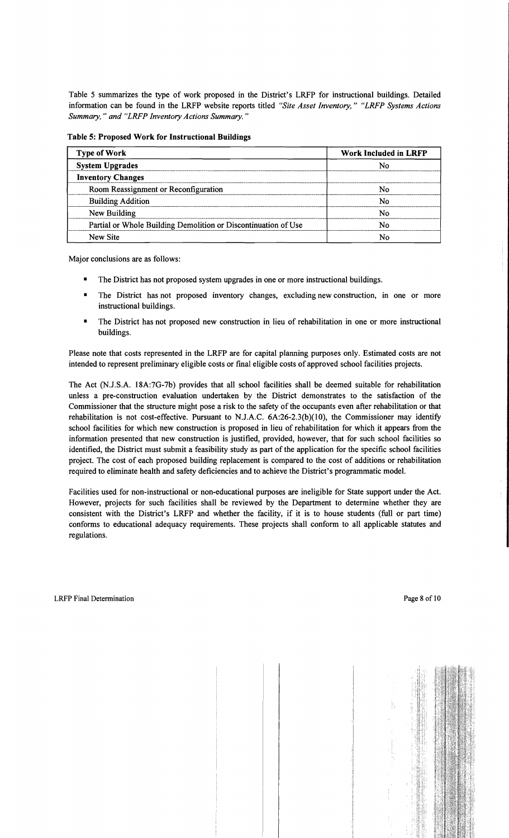Table 5 summarizes the type of work proposed in the District's LRFP for instructional buildings. Detailed information can be found in the LRFP website reports titled *"Site Asset Inventory," "LRFP Systems Actions Summary,* " *and "LRFP Inventory Actions Summary. "* 

Table 5: Proposed Work for Instructional Buildings

| <b>Type of Work</b>                                            | <b>Work Included in LRFP</b><br>N٥ |  |
|----------------------------------------------------------------|------------------------------------|--|
| <b>System Upgrades</b>                                         |                                    |  |
| <b>Inventory Changes</b>                                       |                                    |  |
| Room Reassignment or Reconfiguration                           | N٥                                 |  |
| <b>Building Addition</b>                                       | N٥                                 |  |
| New Building                                                   | N٥                                 |  |
| Partial or Whole Building Demolition or Discontinuation of Use | N٥                                 |  |
| New Site                                                       | N٥                                 |  |

Major conclusions are as follows:

- The District has not proposed system upgrades in one or more instructional buildings.
- The District has not proposed inventory changes, excluding new construction, in one or more instructional buildings.
- The District has not proposed new construction in lieu of rehabilitation in one or more instructional buildings.

Please note that costs represented in the LRFP are for capital planning purposes only. Estimated costs are not intended to represent preliminary eligible costs or fmal eligible costs of approved school facilities projects.

The Act (N.J.S.A. 18A:7G-7b) provides that all school facilities shall be deemed suitable for rehabilitation unless a pre-construction evaluation undertaken by the District demonstrates to the satisfaction of the Commissioner that the structure might pose a risk to the safety of the occupants even after rehabilitation or that rehabilitation is not cost-effective. Pursuant to N.J.A.C.  $6A:26-2.3(b)(10)$ , the Commissioner may identify school facilities for which new construction is proposed in lieu of rehabilitation for which it appears from the information presented that new construction is justified, provided, however, that for such school facilities so identified, the District must submit a feasibility study as part of the application for the specific school facilities project. The cost of each proposed building replacement is compared to the cost of additions or rehabilitation required to eliminate health and safety deficiencies and to achieve the District's programmatic model.

Facilities used for non-instructional or non-educational purposes are ineligible for State support under the Act. However, projects for such facilities shall be reviewed by the Department to determine whether they are consistent with the District's LRFP and whether the facility, if it is to house students (full or part time) conforms to educational adequacy requirements. These projects shall conform to all applicable statutes and regulations.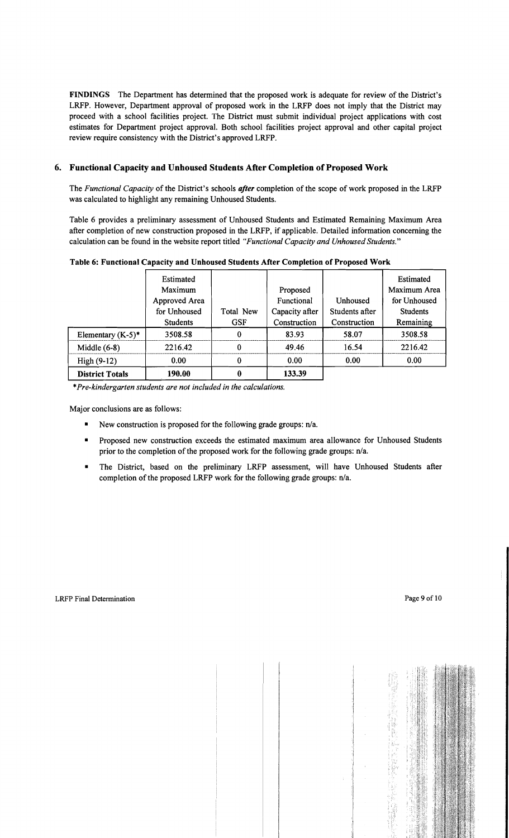FINDINGS The Department has determined that the proposed work is adequate for review of the District's LRFP. However, Department approval of proposed work in the LRFP does not imply that the District may proceed with a school facilities project. The District must submit individual project applications with cost estimates for Department project approval. Both school facilities project approval and other capital project review require consistency with the District's approved LRFP.

# 6. Functional Capacity and Unhoused Students After Completion of Proposed Work

The *Functional Capacity* of the District's schools *after* completion of the scope of work proposed in the LRFP was calculated to highlight any remaining Unhoused Students.

Table 6 provides a preliminary assessment of Unhoused Students and Estimated Remaining Maximum Area after completion of new construction proposed in the LRFP, if applicable. Detailed information concerning the calculation can be found in the website report titled *"Functional Capacity and Unhoused Students."* 

|                        | Estimated<br>Maximum<br>Approved Area<br>for Unhoused | Total New  | Proposed<br>Functional<br>Capacity after | Unhoused<br>Students after | Estimated<br>Maximum Area<br>for Unhoused<br><b>Students</b> |
|------------------------|-------------------------------------------------------|------------|------------------------------------------|----------------------------|--------------------------------------------------------------|
|                        | <b>Students</b>                                       | <b>GSF</b> | Construction                             | Construction               | Remaining                                                    |
| Elementary $(K-5)^*$   | 3508.58                                               | 0          | 83.93                                    | 58.07                      | 3508.58                                                      |
| Middle $(6-8)$         | 2216.42                                               | 0          | 49.46                                    | 16.54                      | 2216.42                                                      |
| High $(9-12)$          | 0.00                                                  | 0          | 0.00                                     | 0.00                       | 0.00                                                         |
| <b>District Totals</b> | 190.00                                                | 0          | 133.39                                   |                            |                                                              |

Table 6: Functional Capacity and Unhoused Students After Completion of Proposed Work

\**Pre-kindergarten students are not included in the calculations.* 

Major conclusions are as follows:

- New construction is proposed for the following grade groups:  $n/a$ .
- Proposed new construction exceeds the estimated maximum area allowance for Unhoused Students prior to the completion of the proposed work for the following grade groups: n/a.
- The District, based on the preliminary LRFP assessment, will have Unhoused Students after completion of the proposed LRFP work for the following grade groups: n/a.